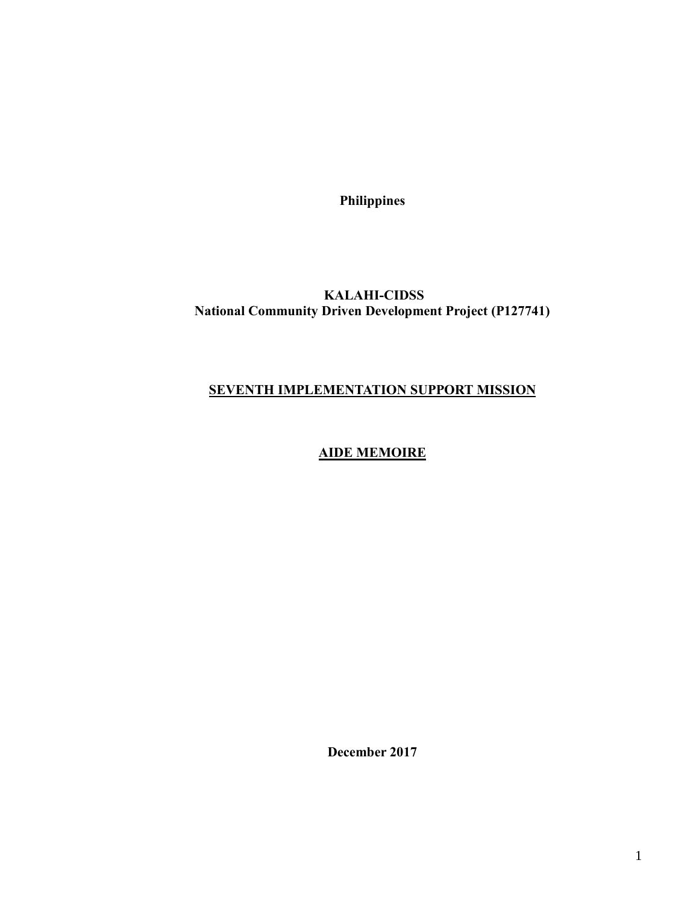**Philippines**

# **KALAHI-CIDSS National Community Driven Development Project (P127741)**

#### **SEVENTH IMPLEMENTATION SUPPORT MISSION**

# **AIDE MEMOIRE**

**December 2017**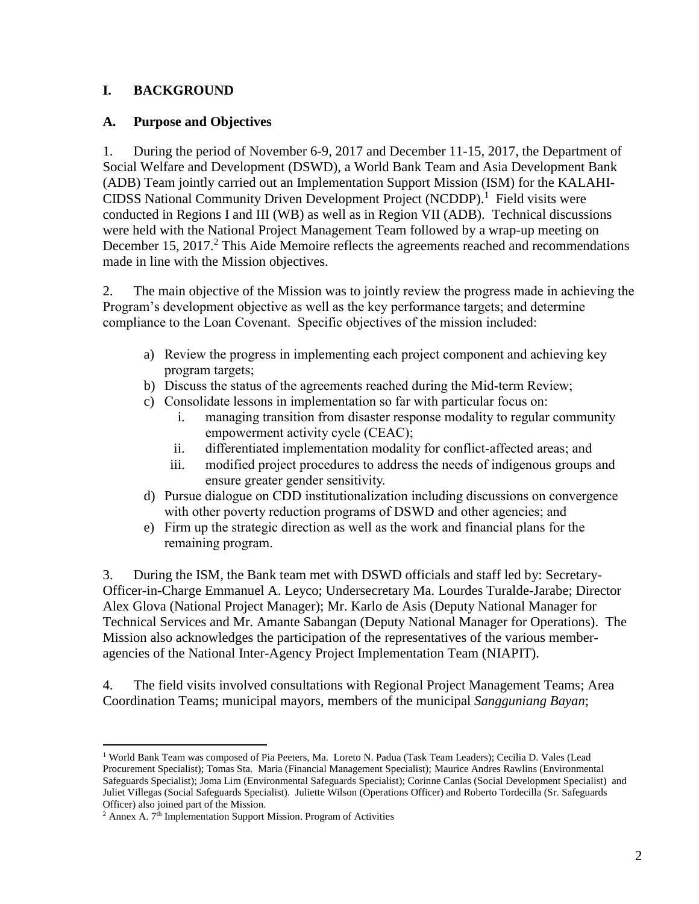# **I. BACKGROUND**

#### **A. Purpose and Objectives**

1. During the period of November 6-9, 2017 and December 11-15, 2017, the Department of Social Welfare and Development (DSWD), a World Bank Team and Asia Development Bank (ADB) Team jointly carried out an Implementation Support Mission (ISM) for the KALAHI-CIDSS National Community Driven Development Project (NCDDP). <sup>1</sup> Field visits were conducted in Regions I and III (WB) as well as in Region VII (ADB). Technical discussions were held with the National Project Management Team followed by a wrap-up meeting on December 15, 2017.<sup>2</sup> This Aide Memoire reflects the agreements reached and recommendations made in line with the Mission objectives.

2. The main objective of the Mission was to jointly review the progress made in achieving the Program's development objective as well as the key performance targets; and determine compliance to the Loan Covenant. Specific objectives of the mission included:

- a) Review the progress in implementing each project component and achieving key program targets;
- b) Discuss the status of the agreements reached during the Mid-term Review;
- c) Consolidate lessons in implementation so far with particular focus on:
	- i. managing transition from disaster response modality to regular community empowerment activity cycle (CEAC);
	- ii. differentiated implementation modality for conflict-affected areas; and
	- iii. modified project procedures to address the needs of indigenous groups and ensure greater gender sensitivity.
- d) Pursue dialogue on CDD institutionalization including discussions on convergence with other poverty reduction programs of DSWD and other agencies; and
- e) Firm up the strategic direction as well as the work and financial plans for the remaining program.

3. During the ISM, the Bank team met with DSWD officials and staff led by: Secretary-Officer-in-Charge Emmanuel A. Leyco; Undersecretary Ma. Lourdes Turalde-Jarabe; Director Alex Glova (National Project Manager); Mr. Karlo de Asis (Deputy National Manager for Technical Services and Mr. Amante Sabangan (Deputy National Manager for Operations). The Mission also acknowledges the participation of the representatives of the various memberagencies of the National Inter-Agency Project Implementation Team (NIAPIT).

4. The field visits involved consultations with Regional Project Management Teams; Area Coordination Teams; municipal mayors, members of the municipal *Sangguniang Bayan*;

 $\overline{a}$ 

<sup>1</sup> World Bank Team was composed of Pia Peeters, Ma. Loreto N. Padua (Task Team Leaders); Cecilia D. Vales (Lead Procurement Specialist); Tomas Sta. Maria (Financial Management Specialist); Maurice Andres Rawlins (Environmental Safeguards Specialist); Joma Lim (Environmental Safeguards Specialist); Corinne Canlas (Social Development Specialist) and Juliet Villegas (Social Safeguards Specialist). Juliette Wilson (Operations Officer) and Roberto Tordecilla (Sr. Safeguards Officer) also joined part of the Mission.

 $2$  Annex A.  $7<sup>th</sup>$  Implementation Support Mission. Program of Activities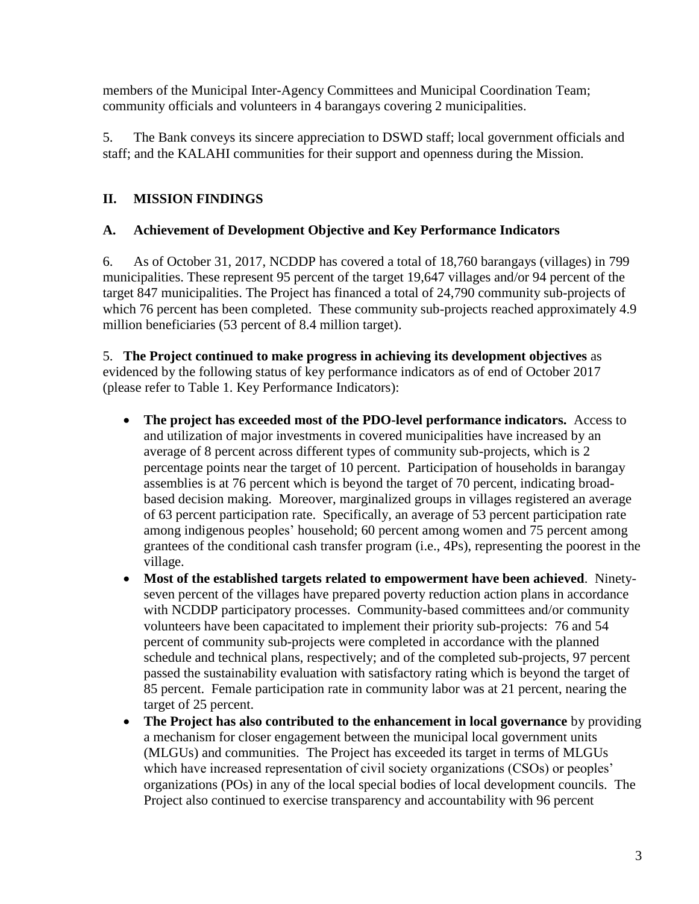members of the Municipal Inter-Agency Committees and Municipal Coordination Team; community officials and volunteers in 4 barangays covering 2 municipalities.

5. The Bank conveys its sincere appreciation to DSWD staff; local government officials and staff; and the KALAHI communities for their support and openness during the Mission.

# **II. MISSION FINDINGS**

# **A. Achievement of Development Objective and Key Performance Indicators**

6. As of October 31, 2017, NCDDP has covered a total of 18,760 barangays (villages) in 799 municipalities. These represent 95 percent of the target 19,647 villages and/or 94 percent of the target 847 municipalities. The Project has financed a total of 24,790 community sub-projects of which 76 percent has been completed. These community sub-projects reached approximately 4.9 million beneficiaries (53 percent of 8.4 million target).

5. **The Project continued to make progress in achieving its development objectives** as evidenced by the following status of key performance indicators as of end of October 2017 (please refer to Table 1. Key Performance Indicators):

- **The project has exceeded most of the PDO-level performance indicators.** Access to and utilization of major investments in covered municipalities have increased by an average of 8 percent across different types of community sub-projects, which is 2 percentage points near the target of 10 percent. Participation of households in barangay assemblies is at 76 percent which is beyond the target of 70 percent, indicating broadbased decision making. Moreover, marginalized groups in villages registered an average of 63 percent participation rate. Specifically, an average of 53 percent participation rate among indigenous peoples' household; 60 percent among women and 75 percent among grantees of the conditional cash transfer program (i.e., 4Ps), representing the poorest in the village.
- **Most of the established targets related to empowerment have been achieved**. Ninetyseven percent of the villages have prepared poverty reduction action plans in accordance with NCDDP participatory processes. Community-based committees and/or community volunteers have been capacitated to implement their priority sub-projects: 76 and 54 percent of community sub-projects were completed in accordance with the planned schedule and technical plans, respectively; and of the completed sub-projects, 97 percent passed the sustainability evaluation with satisfactory rating which is beyond the target of 85 percent. Female participation rate in community labor was at 21 percent, nearing the target of 25 percent.
- **The Project has also contributed to the enhancement in local governance** by providing a mechanism for closer engagement between the municipal local government units (MLGUs) and communities. The Project has exceeded its target in terms of MLGUs which have increased representation of civil society organizations (CSOs) or peoples' organizations (POs) in any of the local special bodies of local development councils. The Project also continued to exercise transparency and accountability with 96 percent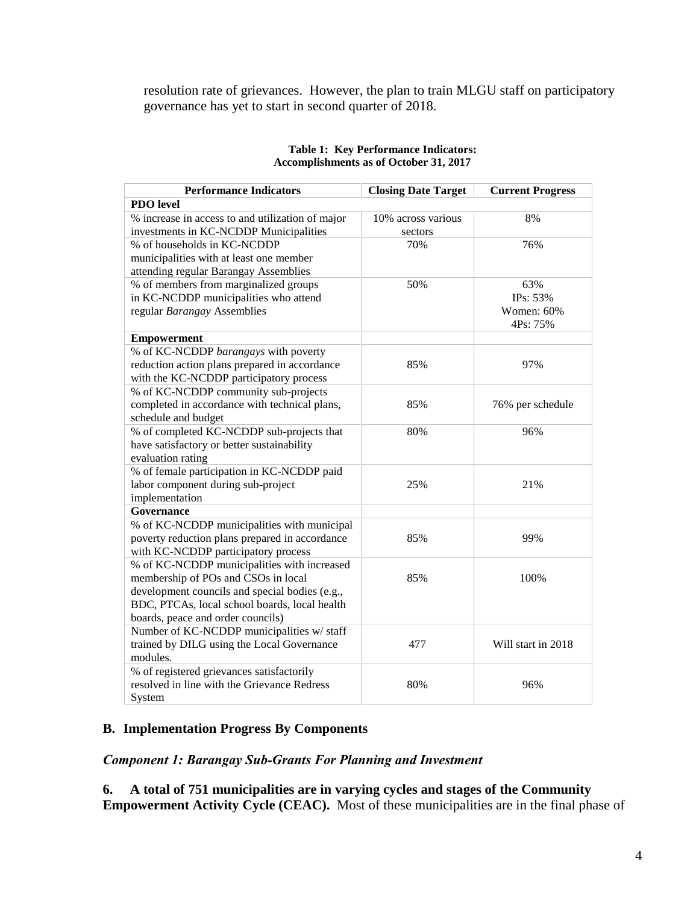resolution rate of grievances. However, the plan to train MLGU staff on participatory governance has yet to start in second quarter of 2018.

| <b>Performance Indicators</b>                    | <b>Closing Date Target</b> | <b>Current Progress</b> |
|--------------------------------------------------|----------------------------|-------------------------|
| <b>PDO</b> level                                 |                            |                         |
| % increase in access to and utilization of major | 10% across various         | 8%                      |
| investments in KC-NCDDP Municipalities           | sectors                    |                         |
| % of households in KC-NCDDP                      | 70%                        | 76%                     |
| municipalities with at least one member          |                            |                         |
| attending regular Barangay Assemblies            |                            |                         |
| % of members from marginalized groups            | 50%                        | 63%                     |
| in KC-NCDDP municipalities who attend            |                            | IPs: 53%                |
| regular Barangay Assemblies                      |                            | Women: 60%              |
|                                                  |                            | 4Ps: 75%                |
| <b>Empowerment</b>                               |                            |                         |
| % of KC-NCDDP barangays with poverty             |                            |                         |
| reduction action plans prepared in accordance    | 85%                        | 97%                     |
| with the KC-NCDDP participatory process          |                            |                         |
| % of KC-NCDDP community sub-projects             |                            |                         |
| completed in accordance with technical plans,    | 85%                        | 76% per schedule        |
| schedule and budget                              |                            |                         |
| % of completed KC-NCDDP sub-projects that        | 80%                        | 96%                     |
| have satisfactory or better sustainability       |                            |                         |
| evaluation rating                                |                            |                         |
| % of female participation in KC-NCDDP paid       |                            |                         |
| labor component during sub-project               | 25%                        | 21%                     |
| implementation                                   |                            |                         |
| Governance                                       |                            |                         |
| % of KC-NCDDP municipalities with municipal      |                            |                         |
| poverty reduction plans prepared in accordance   | 85%                        | 99%                     |
| with KC-NCDDP participatory process              |                            |                         |
| % of KC-NCDDP municipalities with increased      |                            |                         |
| membership of POs and CSOs in local              | 85%                        | 100%                    |
| development councils and special bodies (e.g.,   |                            |                         |
| BDC, PTCAs, local school boards, local health    |                            |                         |
| boards, peace and order councils)                |                            |                         |
| Number of KC-NCDDP municipalities w/ staff       |                            |                         |
| trained by DILG using the Local Governance       | 477                        | Will start in 2018      |
| modules.                                         |                            |                         |
| % of registered grievances satisfactorily        |                            |                         |
| resolved in line with the Grievance Redress      | 80%                        | 96%                     |
| System                                           |                            |                         |

#### **Table 1: Key Performance Indicators: Accomplishments as of October 31, 2017**

# **B. Implementation Progress By Components**

#### *Component 1: Barangay Sub-Grants For Planning and Investment*

**6. A total of 751 municipalities are in varying cycles and stages of the Community Empowerment Activity Cycle (CEAC).** Most of these municipalities are in the final phase of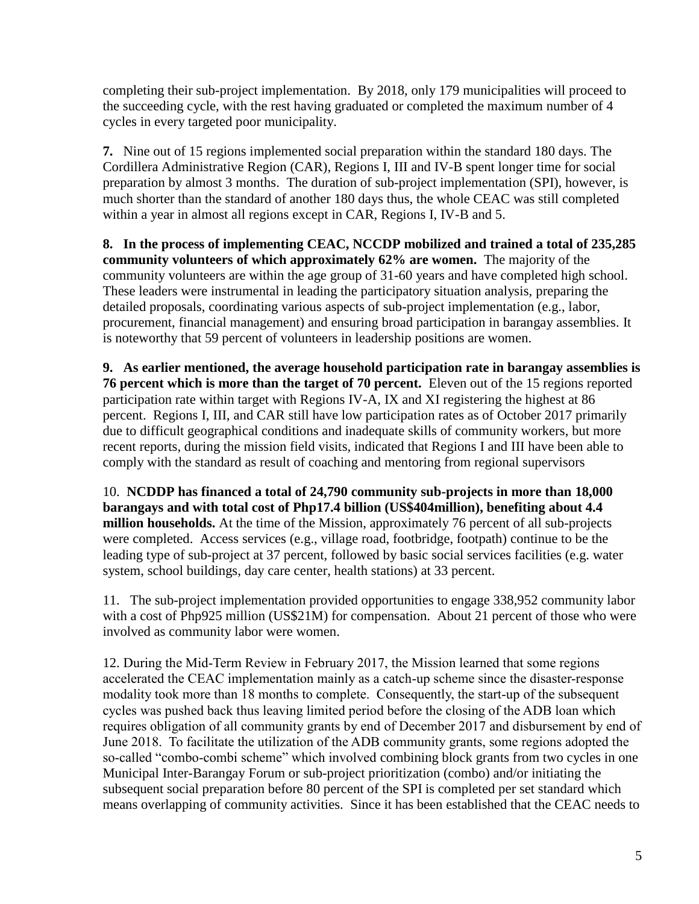completing their sub-project implementation. By 2018, only 179 municipalities will proceed to the succeeding cycle, with the rest having graduated or completed the maximum number of 4 cycles in every targeted poor municipality.

**7.** Nine out of 15 regions implemented social preparation within the standard 180 days. The Cordillera Administrative Region (CAR), Regions I, III and IV-B spent longer time for social preparation by almost 3 months. The duration of sub-project implementation (SPI), however, is much shorter than the standard of another 180 days thus, the whole CEAC was still completed within a year in almost all regions except in CAR, Regions I, IV-B and 5.

**8. In the process of implementing CEAC, NCCDP mobilized and trained a total of 235,285 community volunteers of which approximately 62% are women.** The majority of the community volunteers are within the age group of 31-60 years and have completed high school. These leaders were instrumental in leading the participatory situation analysis, preparing the detailed proposals, coordinating various aspects of sub-project implementation (e.g., labor, procurement, financial management) and ensuring broad participation in barangay assemblies. It is noteworthy that 59 percent of volunteers in leadership positions are women.

**9. As earlier mentioned, the average household participation rate in barangay assemblies is 76 percent which is more than the target of 70 percent.** Eleven out of the 15 regions reported participation rate within target with Regions IV-A, IX and XI registering the highest at 86 percent. Regions I, III, and CAR still have low participation rates as of October 2017 primarily due to difficult geographical conditions and inadequate skills of community workers, but more recent reports, during the mission field visits, indicated that Regions I and III have been able to comply with the standard as result of coaching and mentoring from regional supervisors

10. **NCDDP has financed a total of 24,790 community sub-projects in more than 18,000 barangays and with total cost of Php17.4 billion (US\$404million), benefiting about 4.4 million households.** At the time of the Mission, approximately 76 percent of all sub-projects were completed. Access services (e.g., village road, footbridge, footpath) continue to be the leading type of sub-project at 37 percent, followed by basic social services facilities (e.g. water system, school buildings, day care center, health stations) at 33 percent.

11.The sub-project implementation provided opportunities to engage 338,952 community labor with a cost of Php925 million (US\$21M) for compensation. About 21 percent of those who were involved as community labor were women.

12. During the Mid-Term Review in February 2017, the Mission learned that some regions accelerated the CEAC implementation mainly as a catch-up scheme since the disaster-response modality took more than 18 months to complete. Consequently, the start-up of the subsequent cycles was pushed back thus leaving limited period before the closing of the ADB loan which requires obligation of all community grants by end of December 2017 and disbursement by end of June 2018. To facilitate the utilization of the ADB community grants, some regions adopted the so-called "combo-combi scheme" which involved combining block grants from two cycles in one Municipal Inter-Barangay Forum or sub-project prioritization (combo) and/or initiating the subsequent social preparation before 80 percent of the SPI is completed per set standard which means overlapping of community activities. Since it has been established that the CEAC needs to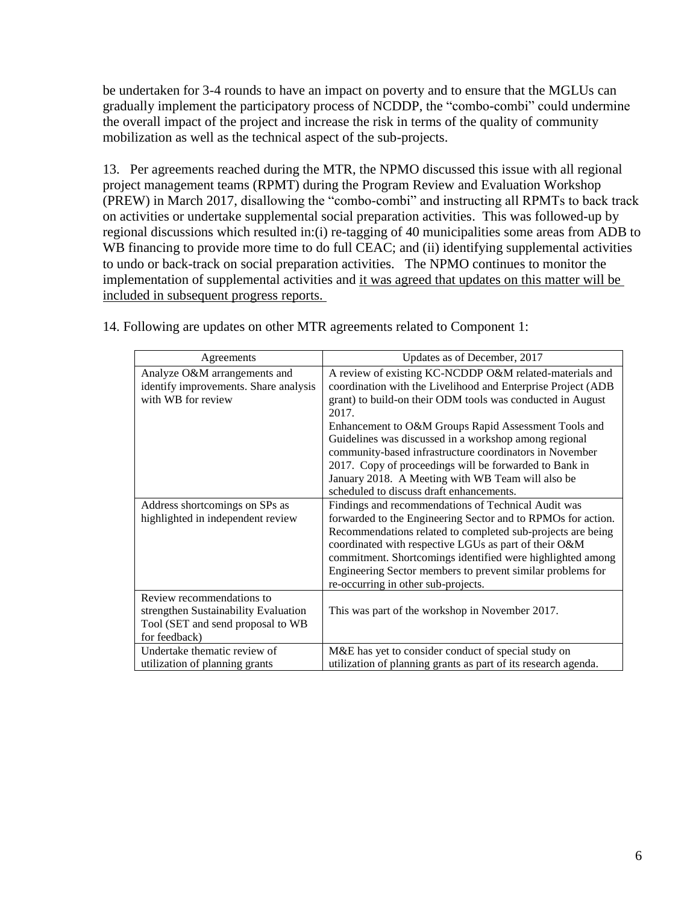be undertaken for 3-4 rounds to have an impact on poverty and to ensure that the MGLUs can gradually implement the participatory process of NCDDP, the "combo-combi" could undermine the overall impact of the project and increase the risk in terms of the quality of community mobilization as well as the technical aspect of the sub-projects.

13. Per agreements reached during the MTR, the NPMO discussed this issue with all regional project management teams (RPMT) during the Program Review and Evaluation Workshop (PREW) in March 2017, disallowing the "combo-combi" and instructing all RPMTs to back track on activities or undertake supplemental social preparation activities. This was followed-up by regional discussions which resulted in:(i) re-tagging of 40 municipalities some areas from ADB to WB financing to provide more time to do full CEAC; and (ii) identifying supplemental activities to undo or back-track on social preparation activities. The NPMO continues to monitor the implementation of supplemental activities and it was agreed that updates on this matter will be included in subsequent progress reports.

| Agreements                                                                                                              | Updates as of December, 2017                                                                                                                                                                                                                                                                                                                                                                                                                                                                                                          |
|-------------------------------------------------------------------------------------------------------------------------|---------------------------------------------------------------------------------------------------------------------------------------------------------------------------------------------------------------------------------------------------------------------------------------------------------------------------------------------------------------------------------------------------------------------------------------------------------------------------------------------------------------------------------------|
| Analyze O&M arrangements and<br>identify improvements. Share analysis<br>with WB for review                             | A review of existing KC-NCDDP O&M related-materials and<br>coordination with the Livelihood and Enterprise Project (ADB<br>grant) to build-on their ODM tools was conducted in August<br>2017.<br>Enhancement to O&M Groups Rapid Assessment Tools and<br>Guidelines was discussed in a workshop among regional<br>community-based infrastructure coordinators in November<br>2017. Copy of proceedings will be forwarded to Bank in<br>January 2018. A Meeting with WB Team will also be<br>scheduled to discuss draft enhancements. |
| Address shortcomings on SPs as<br>highlighted in independent review                                                     | Findings and recommendations of Technical Audit was<br>forwarded to the Engineering Sector and to RPMOs for action.<br>Recommendations related to completed sub-projects are being<br>coordinated with respective LGUs as part of their O&M<br>commitment. Shortcomings identified were highlighted among<br>Engineering Sector members to prevent similar problems for<br>re-occurring in other sub-projects.                                                                                                                        |
| Review recommendations to<br>strengthen Sustainability Evaluation<br>Tool (SET and send proposal to WB<br>for feedback) | This was part of the workshop in November 2017.                                                                                                                                                                                                                                                                                                                                                                                                                                                                                       |
| Undertake thematic review of<br>utilization of planning grants                                                          | M&E has yet to consider conduct of special study on<br>utilization of planning grants as part of its research agenda.                                                                                                                                                                                                                                                                                                                                                                                                                 |

14. Following are updates on other MTR agreements related to Component 1: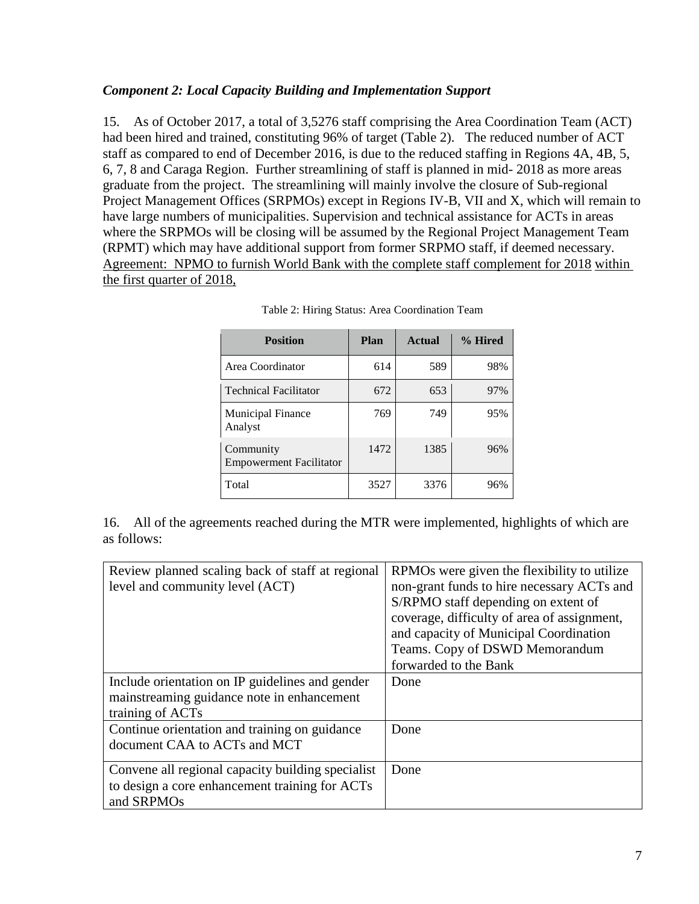# *Component 2: Local Capacity Building and Implementation Support*

15. As of October 2017, a total of 3,5276 staff comprising the Area Coordination Team (ACT) had been hired and trained, constituting 96% of target (Table 2). The reduced number of ACT staff as compared to end of December 2016, is due to the reduced staffing in Regions 4A, 4B, 5, 6, 7, 8 and Caraga Region. Further streamlining of staff is planned in mid- 2018 as more areas graduate from the project. The streamlining will mainly involve the closure of Sub-regional Project Management Offices (SRPMOs) except in Regions IV-B, VII and X, which will remain to have large numbers of municipalities. Supervision and technical assistance for ACTs in areas where the SRPMOs will be closing will be assumed by the Regional Project Management Team (RPMT) which may have additional support from former SRPMO staff, if deemed necessary. Agreement: NPMO to furnish World Bank with the complete staff complement for 2018 within the first quarter of 2018,

| <b>Position</b>                             | Plan | Actual | % Hired |
|---------------------------------------------|------|--------|---------|
| Area Coordinator                            | 614  | 589    | 98%     |
| <b>Technical Facilitator</b>                | 672  | 653    | 97%     |
| <b>Municipal Finance</b><br>Analyst         | 769  | 749    | 95%     |
| Community<br><b>Empowerment Facilitator</b> | 1472 | 1385   | 96%     |
| Total                                       | 3527 | 3376   | 96%     |

| Table 2: Hiring Status: Area Coordination Team |
|------------------------------------------------|
|------------------------------------------------|

16. All of the agreements reached during the MTR were implemented, highlights of which are as follows:

| Review planned scaling back of staff at regional<br>level and community level (ACT)                               | RPMOs were given the flexibility to utilize<br>non-grant funds to hire necessary ACTs and<br>S/RPMO staff depending on extent of<br>coverage, difficulty of area of assignment,<br>and capacity of Municipal Coordination<br>Teams. Copy of DSWD Memorandum<br>forwarded to the Bank |
|-------------------------------------------------------------------------------------------------------------------|--------------------------------------------------------------------------------------------------------------------------------------------------------------------------------------------------------------------------------------------------------------------------------------|
| Include orientation on IP guidelines and gender<br>mainstreaming guidance note in enhancement<br>training of ACTs | Done                                                                                                                                                                                                                                                                                 |
| Continue orientation and training on guidance<br>document CAA to ACTs and MCT                                     | Done                                                                                                                                                                                                                                                                                 |
| Convene all regional capacity building specialist<br>to design a core enhancement training for ACTs<br>and SRPMOs | Done                                                                                                                                                                                                                                                                                 |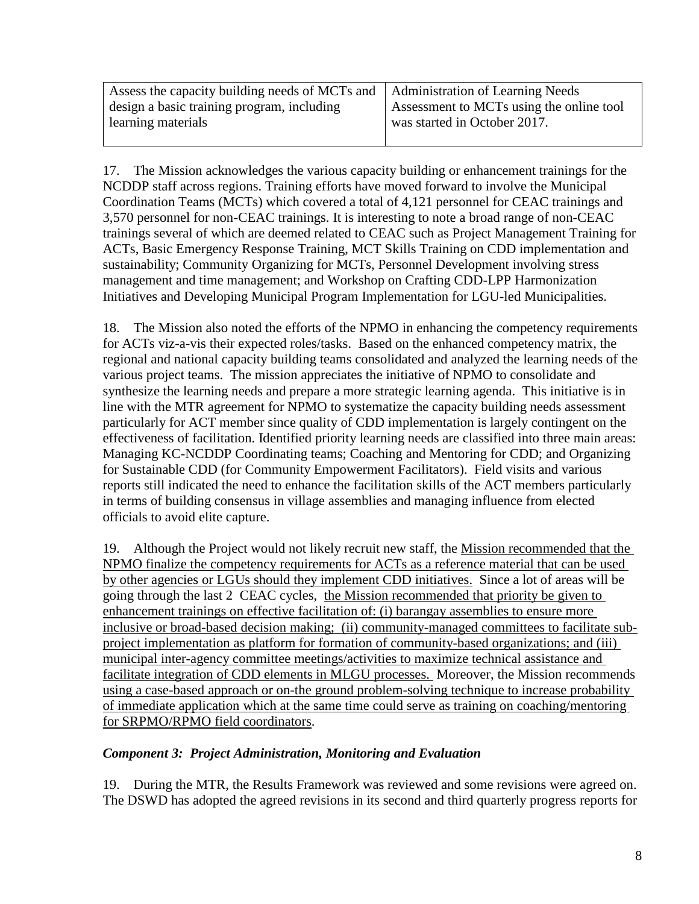| Assess the capacity building needs of MCTs and   Administration of Learning Needs |                                          |
|-----------------------------------------------------------------------------------|------------------------------------------|
| design a basic training program, including                                        | Assessment to MCTs using the online tool |
| learning materials                                                                | was started in October 2017.             |
|                                                                                   |                                          |

17. The Mission acknowledges the various capacity building or enhancement trainings for the NCDDP staff across regions. Training efforts have moved forward to involve the Municipal Coordination Teams (MCTs) which covered a total of 4,121 personnel for CEAC trainings and 3,570 personnel for non-CEAC trainings. It is interesting to note a broad range of non-CEAC trainings several of which are deemed related to CEAC such as Project Management Training for ACTs, Basic Emergency Response Training, MCT Skills Training on CDD implementation and sustainability; Community Organizing for MCTs, Personnel Development involving stress management and time management; and Workshop on Crafting CDD-LPP Harmonization Initiatives and Developing Municipal Program Implementation for LGU-led Municipalities.

18. The Mission also noted the efforts of the NPMO in enhancing the competency requirements for ACTs viz-a-vis their expected roles/tasks. Based on the enhanced competency matrix, the regional and national capacity building teams consolidated and analyzed the learning needs of the various project teams. The mission appreciates the initiative of NPMO to consolidate and synthesize the learning needs and prepare a more strategic learning agenda. This initiative is in line with the MTR agreement for NPMO to systematize the capacity building needs assessment particularly for ACT member since quality of CDD implementation is largely contingent on the effectiveness of facilitation. Identified priority learning needs are classified into three main areas: Managing KC-NCDDP Coordinating teams; Coaching and Mentoring for CDD; and Organizing for Sustainable CDD (for Community Empowerment Facilitators). Field visits and various reports still indicated the need to enhance the facilitation skills of the ACT members particularly in terms of building consensus in village assemblies and managing influence from elected officials to avoid elite capture.

19. Although the Project would not likely recruit new staff, the Mission recommended that the NPMO finalize the competency requirements for ACTs as a reference material that can be used by other agencies or LGUs should they implement CDD initiatives. Since a lot of areas will be going through the last 2 CEAC cycles, the Mission recommended that priority be given to enhancement trainings on effective facilitation of: (i) barangay assemblies to ensure more inclusive or broad-based decision making; (ii) community-managed committees to facilitate subproject implementation as platform for formation of community-based organizations; and (iii) municipal inter-agency committee meetings/activities to maximize technical assistance and facilitate integration of CDD elements in MLGU processes. Moreover, the Mission recommends using a case-based approach or on-the ground problem-solving technique to increase probability of immediate application which at the same time could serve as training on coaching/mentoring for SRPMO/RPMO field coordinators.

# *Component 3: Project Administration, Monitoring and Evaluation*

19. During the MTR, the Results Framework was reviewed and some revisions were agreed on. The DSWD has adopted the agreed revisions in its second and third quarterly progress reports for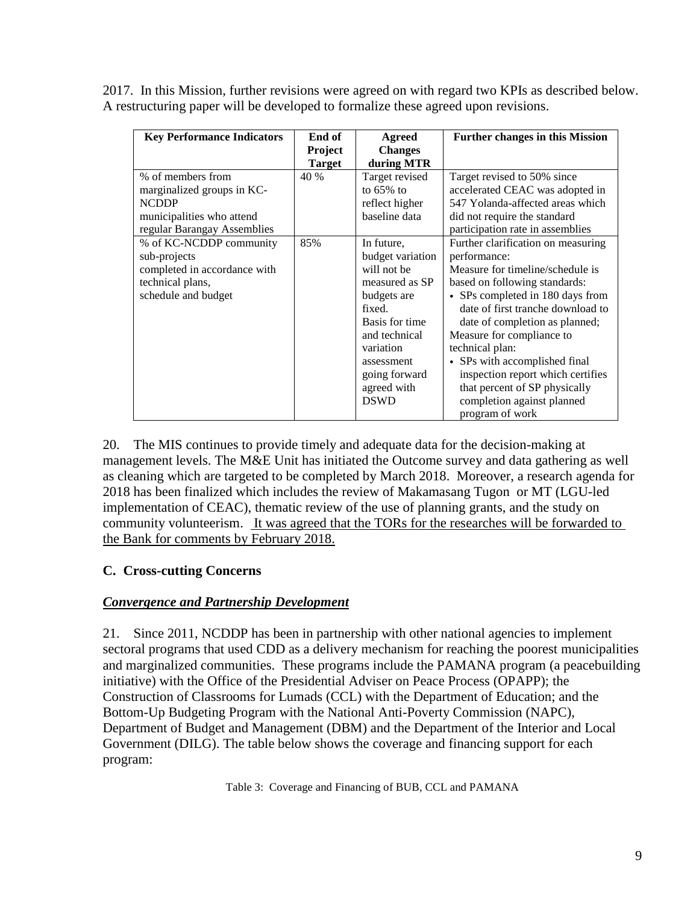2017. In this Mission, further revisions were agreed on with regard two KPIs as described below. A restructuring paper will be developed to formalize these agreed upon revisions.

| <b>Key Performance Indicators</b> | End of<br>Project     | Agreed<br><b>Changes</b>     | <b>Further changes in this Mission</b> |
|-----------------------------------|-----------------------|------------------------------|----------------------------------------|
| % of members from                 | <b>Target</b><br>40 % | during MTR<br>Target revised | Target revised to 50% since            |
| marginalized groups in KC-        |                       | to $65\%$ to                 | accelerated CEAC was adopted in        |
| <b>NCDDP</b>                      |                       | reflect higher               | 547 Yolanda-affected areas which       |
| municipalities who attend         |                       | baseline data                | did not require the standard           |
| regular Barangay Assemblies       |                       |                              | participation rate in assemblies       |
| % of KC-NCDDP community           | 85%                   | In future,                   | Further clarification on measuring     |
| sub-projects                      |                       | budget variation             | performance:                           |
| completed in accordance with      |                       | will not be                  | Measure for timeline/schedule is       |
| technical plans,                  |                       | measured as SP               | based on following standards:          |
| schedule and budget               |                       | budgets are                  | • SPs completed in 180 days from       |
|                                   |                       | fixed.                       | date of first tranche download to      |
|                                   |                       | Basis for time               | date of completion as planned;         |
|                                   |                       | and technical                | Measure for compliance to              |
|                                   |                       | variation                    | technical plan:                        |
|                                   |                       | assessment                   | • SPs with accomplished final          |
|                                   |                       | going forward                | inspection report which certifies      |
|                                   |                       | agreed with                  | that percent of SP physically          |
|                                   |                       | <b>DSWD</b>                  | completion against planned             |
|                                   |                       |                              | program of work                        |

20. The MIS continues to provide timely and adequate data for the decision-making at management levels. The M&E Unit has initiated the Outcome survey and data gathering as well as cleaning which are targeted to be completed by March 2018. Moreover, a research agenda for 2018 has been finalized which includes the review of Makamasang Tugon or MT (LGU-led implementation of CEAC), thematic review of the use of planning grants, and the study on community volunteerism. It was agreed that the TORs for the researches will be forwarded to the Bank for comments by February 2018.

# **C. Cross-cutting Concerns**

# *Convergence and Partnership Development*

21. Since 2011, NCDDP has been in partnership with other national agencies to implement sectoral programs that used CDD as a delivery mechanism for reaching the poorest municipalities and marginalized communities. These programs include the PAMANA program (a peacebuilding initiative) with the Office of the Presidential Adviser on Peace Process (OPAPP); the Construction of Classrooms for Lumads (CCL) with the Department of Education; and the Bottom-Up Budgeting Program with the National Anti-Poverty Commission (NAPC), Department of Budget and Management (DBM) and the Department of the Interior and Local Government (DILG). The table below shows the coverage and financing support for each program: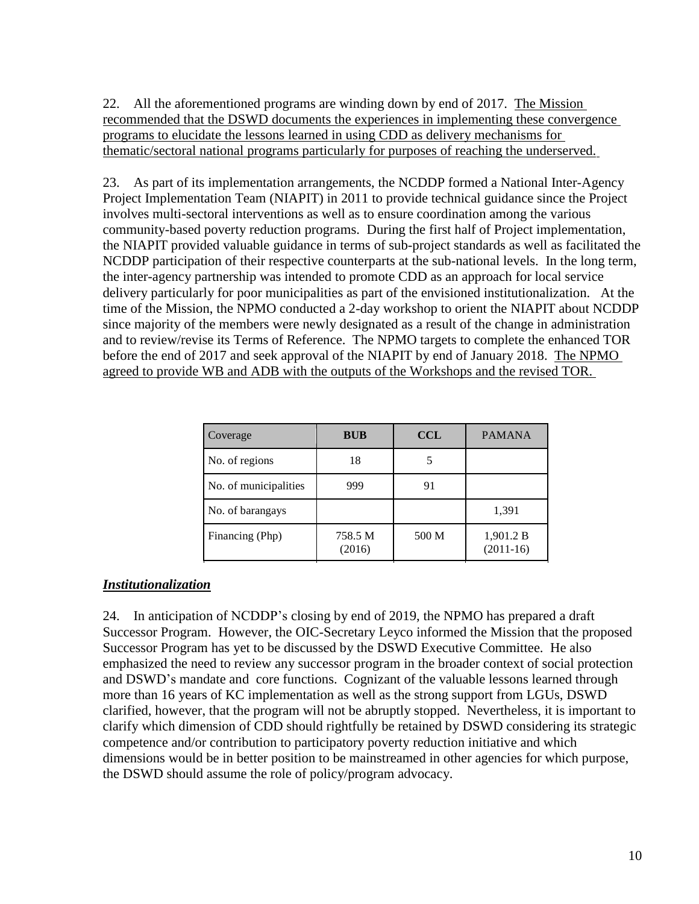22. All the aforementioned programs are winding down by end of 2017. The Mission recommended that the DSWD documents the experiences in implementing these convergence programs to elucidate the lessons learned in using CDD as delivery mechanisms for thematic/sectoral national programs particularly for purposes of reaching the underserved.

23. As part of its implementation arrangements, the NCDDP formed a National Inter-Agency Project Implementation Team (NIAPIT) in 2011 to provide technical guidance since the Project involves multi-sectoral interventions as well as to ensure coordination among the various community-based poverty reduction programs. During the first half of Project implementation, the NIAPIT provided valuable guidance in terms of sub-project standards as well as facilitated the NCDDP participation of their respective counterparts at the sub-national levels. In the long term, the inter-agency partnership was intended to promote CDD as an approach for local service delivery particularly for poor municipalities as part of the envisioned institutionalization. At the time of the Mission, the NPMO conducted a 2-day workshop to orient the NIAPIT about NCDDP since majority of the members were newly designated as a result of the change in administration and to review/revise its Terms of Reference. The NPMO targets to complete the enhanced TOR before the end of 2017 and seek approval of the NIAPIT by end of January 2018. The NPMO agreed to provide WB and ADB with the outputs of the Workshops and the revised TOR.

| Coverage              | <b>BUB</b>        | <b>CCL</b> | <b>PAMANA</b>            |
|-----------------------|-------------------|------------|--------------------------|
| No. of regions        | 18                |            |                          |
| No. of municipalities | 999               | 91         |                          |
| No. of barangays      |                   |            | 1,391                    |
| Financing (Php)       | 758.5 M<br>(2016) | 500 M      | 1,901.2 B<br>$(2011-16)$ |

# *Institutionalization*

24. In anticipation of NCDDP's closing by end of 2019, the NPMO has prepared a draft Successor Program. However, the OIC-Secretary Leyco informed the Mission that the proposed Successor Program has yet to be discussed by the DSWD Executive Committee. He also emphasized the need to review any successor program in the broader context of social protection and DSWD's mandate and core functions. Cognizant of the valuable lessons learned through more than 16 years of KC implementation as well as the strong support from LGUs, DSWD clarified, however, that the program will not be abruptly stopped. Nevertheless, it is important to clarify which dimension of CDD should rightfully be retained by DSWD considering its strategic competence and/or contribution to participatory poverty reduction initiative and which dimensions would be in better position to be mainstreamed in other agencies for which purpose, the DSWD should assume the role of policy/program advocacy.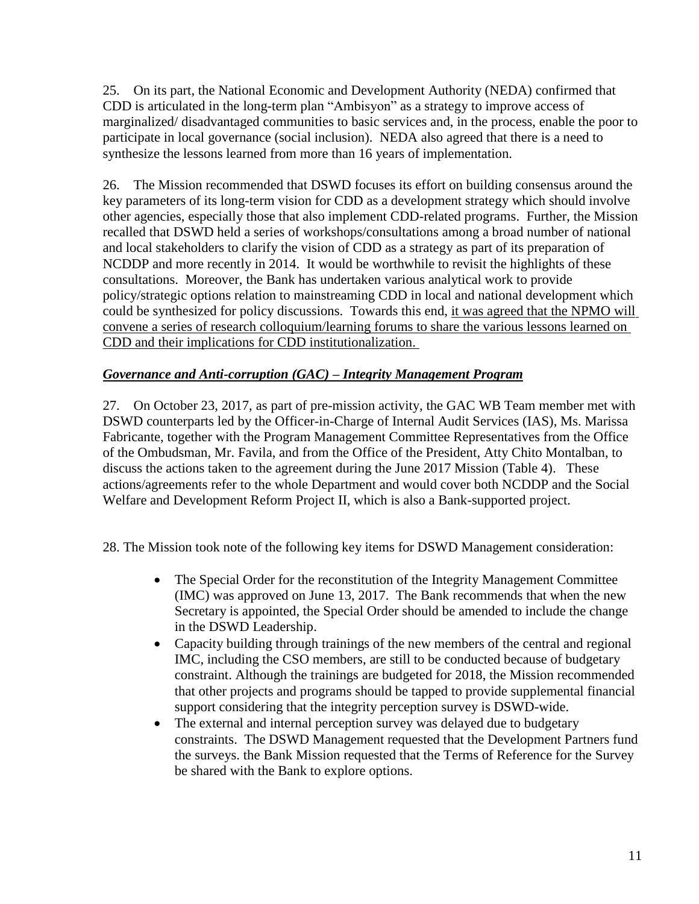25. On its part, the National Economic and Development Authority (NEDA) confirmed that CDD is articulated in the long-term plan "Ambisyon" as a strategy to improve access of marginalized/ disadvantaged communities to basic services and, in the process, enable the poor to participate in local governance (social inclusion). NEDA also agreed that there is a need to synthesize the lessons learned from more than 16 years of implementation.

26. The Mission recommended that DSWD focuses its effort on building consensus around the key parameters of its long-term vision for CDD as a development strategy which should involve other agencies, especially those that also implement CDD-related programs. Further, the Mission recalled that DSWD held a series of workshops/consultations among a broad number of national and local stakeholders to clarify the vision of CDD as a strategy as part of its preparation of NCDDP and more recently in 2014. It would be worthwhile to revisit the highlights of these consultations. Moreover, the Bank has undertaken various analytical work to provide policy/strategic options relation to mainstreaming CDD in local and national development which could be synthesized for policy discussions. Towards this end, it was agreed that the NPMO will convene a series of research colloquium/learning forums to share the various lessons learned on CDD and their implications for CDD institutionalization.

# *Governance and Anti-corruption (GAC) – Integrity Management Program*

27. On October 23, 2017, as part of pre-mission activity, the GAC WB Team member met with DSWD counterparts led by the Officer-in-Charge of Internal Audit Services (IAS), Ms. Marissa Fabricante, together with the Program Management Committee Representatives from the Office of the Ombudsman, Mr. Favila, and from the Office of the President, Atty Chito Montalban, to discuss the actions taken to the agreement during the June 2017 Mission (Table 4). These actions/agreements refer to the whole Department and would cover both NCDDP and the Social Welfare and Development Reform Project II, which is also a Bank-supported project.

28. The Mission took note of the following key items for DSWD Management consideration:

- The Special Order for the reconstitution of the Integrity Management Committee (IMC) was approved on June 13, 2017. The Bank recommends that when the new Secretary is appointed, the Special Order should be amended to include the change in the DSWD Leadership.
- Capacity building through trainings of the new members of the central and regional IMC, including the CSO members, are still to be conducted because of budgetary constraint. Although the trainings are budgeted for 2018, the Mission recommended that other projects and programs should be tapped to provide supplemental financial support considering that the integrity perception survey is DSWD-wide.
- The external and internal perception survey was delayed due to budgetary constraints. The DSWD Management requested that the Development Partners fund the surveys. the Bank Mission requested that the Terms of Reference for the Survey be shared with the Bank to explore options.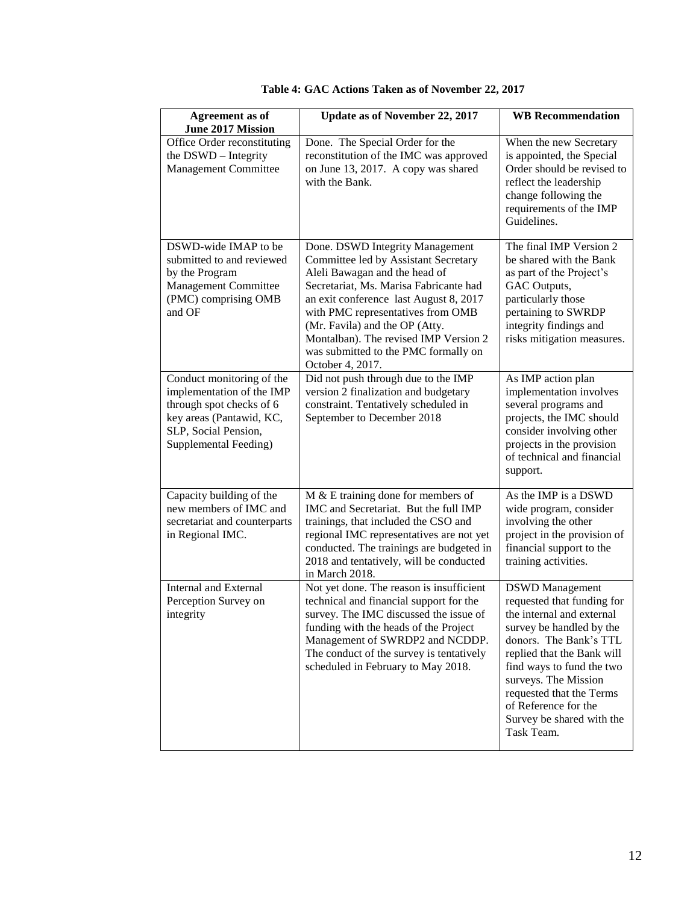| <b>Agreement</b> as of<br>June 2017 Mission                                                                                                                     | Update as of November 22, 2017                                                                                                                                                                                                                                                                                                                                           | <b>WB</b> Recommendation                                                                                                                                                                                                                                                                                                  |
|-----------------------------------------------------------------------------------------------------------------------------------------------------------------|--------------------------------------------------------------------------------------------------------------------------------------------------------------------------------------------------------------------------------------------------------------------------------------------------------------------------------------------------------------------------|---------------------------------------------------------------------------------------------------------------------------------------------------------------------------------------------------------------------------------------------------------------------------------------------------------------------------|
| Office Order reconstituting<br>the DSWD - Integrity<br><b>Management Committee</b>                                                                              | Done. The Special Order for the<br>reconstitution of the IMC was approved<br>on June 13, 2017. A copy was shared<br>with the Bank.                                                                                                                                                                                                                                       | When the new Secretary<br>is appointed, the Special<br>Order should be revised to<br>reflect the leadership<br>change following the<br>requirements of the IMP<br>Guidelines.                                                                                                                                             |
| DSWD-wide IMAP to be<br>submitted to and reviewed<br>by the Program<br>Management Committee<br>(PMC) comprising OMB<br>and OF                                   | Done. DSWD Integrity Management<br>Committee led by Assistant Secretary<br>Aleli Bawagan and the head of<br>Secretariat, Ms. Marisa Fabricante had<br>an exit conference last August 8, 2017<br>with PMC representatives from OMB<br>(Mr. Favila) and the OP (Atty.<br>Montalban). The revised IMP Version 2<br>was submitted to the PMC formally on<br>October 4, 2017. | The final IMP Version 2<br>be shared with the Bank<br>as part of the Project's<br>GAC Outputs,<br>particularly those<br>pertaining to SWRDP<br>integrity findings and<br>risks mitigation measures.                                                                                                                       |
| Conduct monitoring of the<br>implementation of the IMP<br>through spot checks of 6<br>key areas (Pantawid, KC,<br>SLP, Social Pension,<br>Supplemental Feeding) | Did not push through due to the IMP<br>version 2 finalization and budgetary<br>constraint. Tentatively scheduled in<br>September to December 2018                                                                                                                                                                                                                        | As IMP action plan<br>implementation involves<br>several programs and<br>projects, the IMC should<br>consider involving other<br>projects in the provision<br>of technical and financial<br>support.                                                                                                                      |
| Capacity building of the<br>new members of IMC and<br>secretariat and counterparts<br>in Regional IMC.                                                          | $M &E$ training done for members of<br>IMC and Secretariat. But the full IMP<br>trainings, that included the CSO and<br>regional IMC representatives are not yet<br>conducted. The trainings are budgeted in<br>2018 and tentatively, will be conducted<br>in March 2018.                                                                                                | As the IMP is a DSWD<br>wide program, consider<br>involving the other<br>project in the provision of<br>financial support to the<br>training activities.                                                                                                                                                                  |
| <b>Internal and External</b><br>Perception Survey on<br>integrity                                                                                               | Not yet done. The reason is insufficient<br>technical and financial support for the<br>survey. The IMC discussed the issue of<br>funding with the heads of the Project<br>Management of SWRDP2 and NCDDP.<br>The conduct of the survey is tentatively<br>scheduled in February to May 2018.                                                                              | <b>DSWD</b> Management<br>requested that funding for<br>the internal and external<br>survey be handled by the<br>donors. The Bank's TTL<br>replied that the Bank will<br>find ways to fund the two<br>surveys. The Mission<br>requested that the Terms<br>of Reference for the<br>Survey be shared with the<br>Task Team. |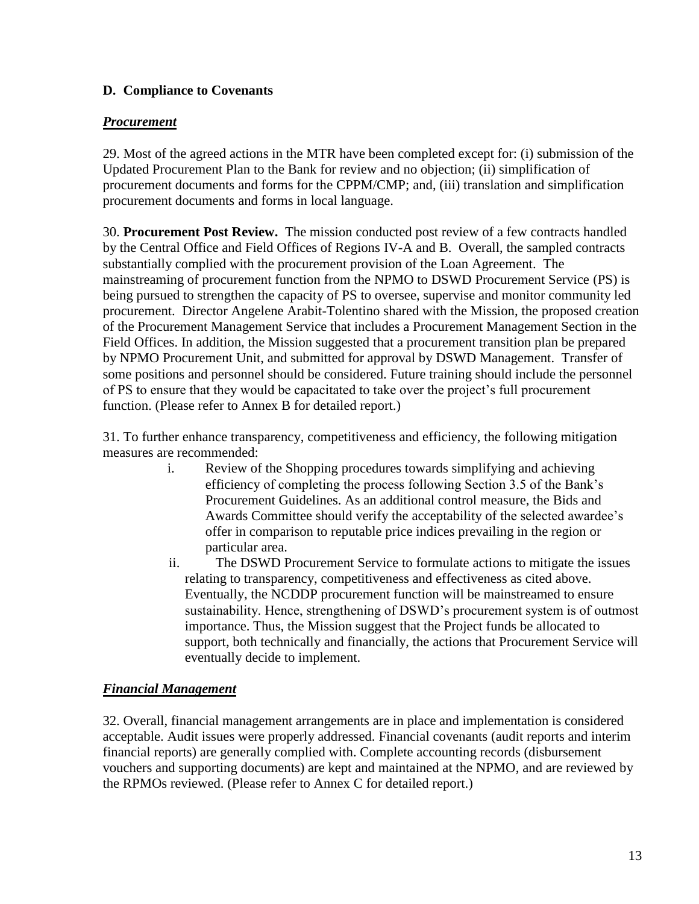# **D. Compliance to Covenants**

# *Procurement*

29. Most of the agreed actions in the MTR have been completed except for: (i) submission of the Updated Procurement Plan to the Bank for review and no objection; (ii) simplification of procurement documents and forms for the CPPM/CMP; and, (iii) translation and simplification procurement documents and forms in local language.

30. **Procurement Post Review.** The mission conducted post review of a few contracts handled by the Central Office and Field Offices of Regions IV-A and B. Overall, the sampled contracts substantially complied with the procurement provision of the Loan Agreement. The mainstreaming of procurement function from the NPMO to DSWD Procurement Service (PS) is being pursued to strengthen the capacity of PS to oversee, supervise and monitor community led procurement. Director Angelene Arabit-Tolentino shared with the Mission, the proposed creation of the Procurement Management Service that includes a Procurement Management Section in the Field Offices. In addition, the Mission suggested that a procurement transition plan be prepared by NPMO Procurement Unit, and submitted for approval by DSWD Management. Transfer of some positions and personnel should be considered. Future training should include the personnel of PS to ensure that they would be capacitated to take over the project's full procurement function. (Please refer to Annex B for detailed report.)

31. To further enhance transparency, competitiveness and efficiency, the following mitigation measures are recommended:

- i. Review of the Shopping procedures towards simplifying and achieving efficiency of completing the process following Section 3.5 of the Bank's Procurement Guidelines. As an additional control measure, the Bids and Awards Committee should verify the acceptability of the selected awardee's offer in comparison to reputable price indices prevailing in the region or particular area.
- ii. The DSWD Procurement Service to formulate actions to mitigate the issues relating to transparency, competitiveness and effectiveness as cited above. Eventually, the NCDDP procurement function will be mainstreamed to ensure sustainability. Hence, strengthening of DSWD's procurement system is of outmost importance. Thus, the Mission suggest that the Project funds be allocated to support, both technically and financially, the actions that Procurement Service will eventually decide to implement.

# *Financial Management*

32. Overall, financial management arrangements are in place and implementation is considered acceptable. Audit issues were properly addressed. Financial covenants (audit reports and interim financial reports) are generally complied with. Complete accounting records (disbursement vouchers and supporting documents) are kept and maintained at the NPMO, and are reviewed by the RPMOs reviewed. (Please refer to Annex C for detailed report.)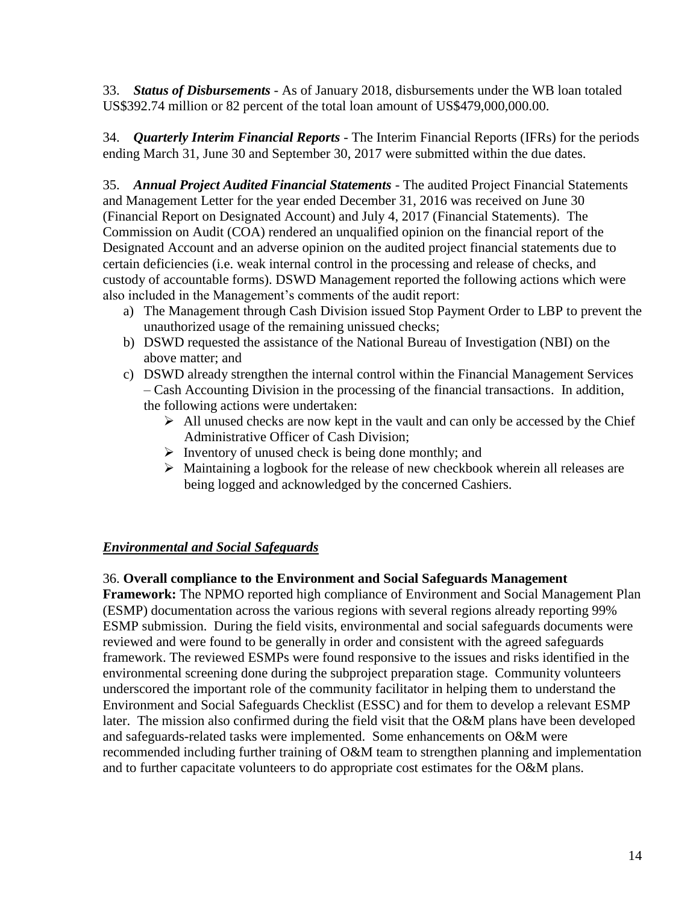33. *Status of Disbursements* - As of January 2018, disbursements under the WB loan totaled US\$392.74 million or 82 percent of the total loan amount of US\$479,000,000.00.

34. *Quarterly Interim Financial Reports* - The Interim Financial Reports (IFRs) for the periods ending March 31, June 30 and September 30, 2017 were submitted within the due dates.

35. *Annual Project Audited Financial Statements* - The audited Project Financial Statements and Management Letter for the year ended December 31, 2016 was received on June 30 (Financial Report on Designated Account) and July 4, 2017 (Financial Statements). The Commission on Audit (COA) rendered an unqualified opinion on the financial report of the Designated Account and an adverse opinion on the audited project financial statements due to certain deficiencies (i.e. weak internal control in the processing and release of checks, and custody of accountable forms). DSWD Management reported the following actions which were also included in the Management's comments of the audit report:

- a) The Management through Cash Division issued Stop Payment Order to LBP to prevent the unauthorized usage of the remaining unissued checks;
- b) DSWD requested the assistance of the National Bureau of Investigation (NBI) on the above matter; and
- c) DSWD already strengthen the internal control within the Financial Management Services – Cash Accounting Division in the processing of the financial transactions. In addition, the following actions were undertaken:
	- $\triangleright$  All unused checks are now kept in the vault and can only be accessed by the Chief Administrative Officer of Cash Division;
	- $\triangleright$  Inventory of unused check is being done monthly; and
	- ➢ Maintaining a logbook for the release of new checkbook wherein all releases are being logged and acknowledged by the concerned Cashiers.

# *Environmental and Social Safeguards*

# 36. **Overall compliance to the Environment and Social Safeguards Management**

**Framework:** The NPMO reported high compliance of Environment and Social Management Plan (ESMP) documentation across the various regions with several regions already reporting 99% ESMP submission. During the field visits, environmental and social safeguards documents were reviewed and were found to be generally in order and consistent with the agreed safeguards framework. The reviewed ESMPs were found responsive to the issues and risks identified in the environmental screening done during the subproject preparation stage. Community volunteers underscored the important role of the community facilitator in helping them to understand the Environment and Social Safeguards Checklist (ESSC) and for them to develop a relevant ESMP later. The mission also confirmed during the field visit that the O&M plans have been developed and safeguards-related tasks were implemented. Some enhancements on O&M were recommended including further training of O&M team to strengthen planning and implementation and to further capacitate volunteers to do appropriate cost estimates for the O&M plans.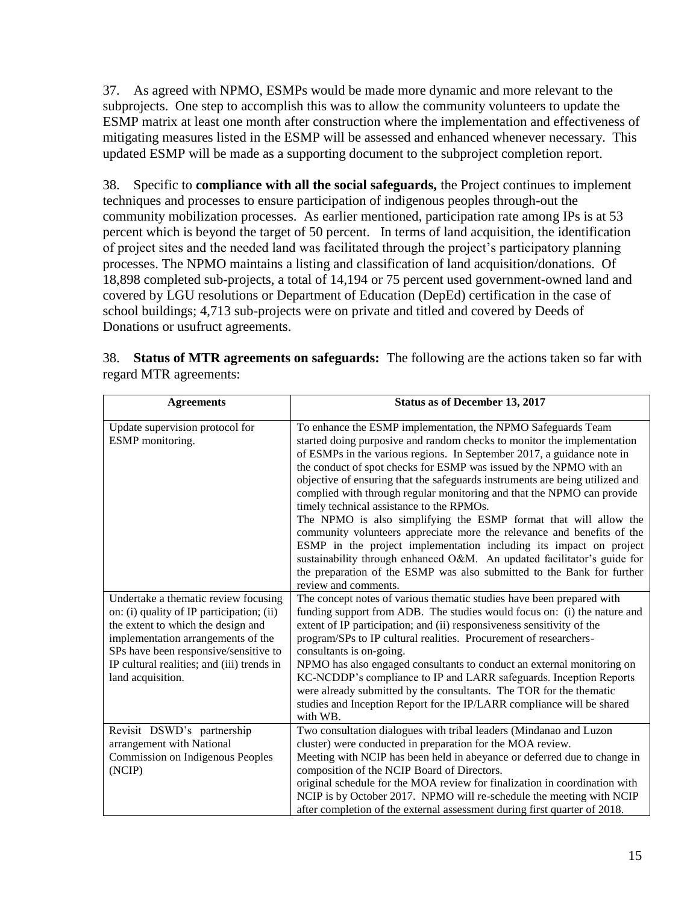37. As agreed with NPMO, ESMPs would be made more dynamic and more relevant to the subprojects. One step to accomplish this was to allow the community volunteers to update the ESMP matrix at least one month after construction where the implementation and effectiveness of mitigating measures listed in the ESMP will be assessed and enhanced whenever necessary. This updated ESMP will be made as a supporting document to the subproject completion report.

38. Specific to **compliance with all the social safeguards,** the Project continues to implement techniques and processes to ensure participation of indigenous peoples through-out the community mobilization processes. As earlier mentioned, participation rate among IPs is at 53 percent which is beyond the target of 50 percent. In terms of land acquisition, the identification of project sites and the needed land was facilitated through the project's participatory planning processes. The NPMO maintains a listing and classification of land acquisition/donations. Of 18,898 completed sub-projects, a total of 14,194 or 75 percent used government-owned land and covered by LGU resolutions or Department of Education (DepEd) certification in the case of school buildings; 4,713 sub-projects were on private and titled and covered by Deeds of Donations or usufruct agreements.

| <b>Agreements</b>                                                                                                                                                                                                                                                         | <b>Status as of December 13, 2017</b>                                                                                                                                                                                                                                                                                                                                                                                                                                                                                                                                                                                                                                                                                                                                                                                                                                                           |
|---------------------------------------------------------------------------------------------------------------------------------------------------------------------------------------------------------------------------------------------------------------------------|-------------------------------------------------------------------------------------------------------------------------------------------------------------------------------------------------------------------------------------------------------------------------------------------------------------------------------------------------------------------------------------------------------------------------------------------------------------------------------------------------------------------------------------------------------------------------------------------------------------------------------------------------------------------------------------------------------------------------------------------------------------------------------------------------------------------------------------------------------------------------------------------------|
| Update supervision protocol for<br>ESMP monitoring.                                                                                                                                                                                                                       | To enhance the ESMP implementation, the NPMO Safeguards Team<br>started doing purposive and random checks to monitor the implementation<br>of ESMPs in the various regions. In September 2017, a guidance note in<br>the conduct of spot checks for ESMP was issued by the NPMO with an<br>objective of ensuring that the safeguards instruments are being utilized and<br>complied with through regular monitoring and that the NPMO can provide<br>timely technical assistance to the RPMOs.<br>The NPMO is also simplifying the ESMP format that will allow the<br>community volunteers appreciate more the relevance and benefits of the<br>ESMP in the project implementation including its impact on project<br>sustainability through enhanced O&M. An updated facilitator's guide for<br>the preparation of the ESMP was also submitted to the Bank for further<br>review and comments. |
| Undertake a thematic review focusing<br>on: (i) quality of IP participation; (ii)<br>the extent to which the design and<br>implementation arrangements of the<br>SPs have been responsive/sensitive to<br>IP cultural realities; and (iii) trends in<br>land acquisition. | The concept notes of various thematic studies have been prepared with<br>funding support from ADB. The studies would focus on: (i) the nature and<br>extent of IP participation; and (ii) responsiveness sensitivity of the<br>program/SPs to IP cultural realities. Procurement of researchers-<br>consultants is on-going.<br>NPMO has also engaged consultants to conduct an external monitoring on<br>KC-NCDDP's compliance to IP and LARR safeguards. Inception Reports<br>were already submitted by the consultants. The TOR for the thematic<br>studies and Inception Report for the IP/LARR compliance will be shared<br>with WB.                                                                                                                                                                                                                                                       |
| Revisit DSWD's partnership<br>arrangement with National<br>Commission on Indigenous Peoples<br>(NCIP)                                                                                                                                                                     | Two consultation dialogues with tribal leaders (Mindanao and Luzon<br>cluster) were conducted in preparation for the MOA review.<br>Meeting with NCIP has been held in abeyance or deferred due to change in<br>composition of the NCIP Board of Directors.<br>original schedule for the MOA review for finalization in coordination with<br>NCIP is by October 2017. NPMO will re-schedule the meeting with NCIP<br>after completion of the external assessment during first quarter of 2018.                                                                                                                                                                                                                                                                                                                                                                                                  |

|                        | 38. Status of MTR agreements on safeguards: The following are the actions taken so far with |
|------------------------|---------------------------------------------------------------------------------------------|
| regard MTR agreements: |                                                                                             |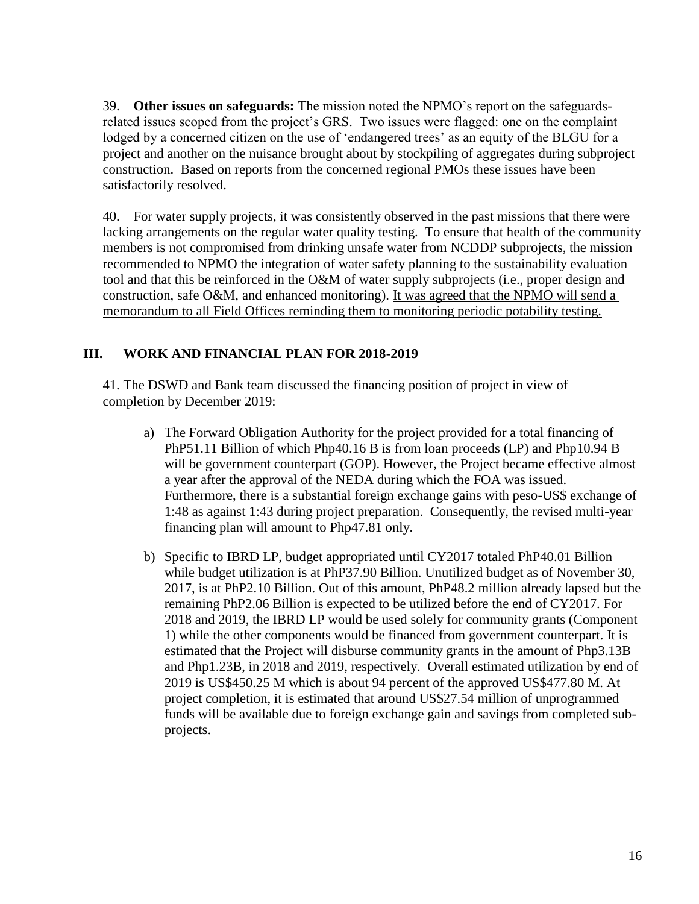39. **Other issues on safeguards:** The mission noted the NPMO's report on the safeguardsrelated issues scoped from the project's GRS. Two issues were flagged: one on the complaint lodged by a concerned citizen on the use of 'endangered trees' as an equity of the BLGU for a project and another on the nuisance brought about by stockpiling of aggregates during subproject construction. Based on reports from the concerned regional PMOs these issues have been satisfactorily resolved.

40. For water supply projects, it was consistently observed in the past missions that there were lacking arrangements on the regular water quality testing. To ensure that health of the community members is not compromised from drinking unsafe water from NCDDP subprojects, the mission recommended to NPMO the integration of water safety planning to the sustainability evaluation tool and that this be reinforced in the O&M of water supply subprojects (i.e., proper design and construction, safe O&M, and enhanced monitoring). It was agreed that the NPMO will send a memorandum to all Field Offices reminding them to monitoring periodic potability testing.

# **III. WORK AND FINANCIAL PLAN FOR 2018-2019**

41. The DSWD and Bank team discussed the financing position of project in view of completion by December 2019:

- a) The Forward Obligation Authority for the project provided for a total financing of PhP51.11 Billion of which Php40.16 B is from loan proceeds (LP) and Php10.94 B will be government counterpart (GOP). However, the Project became effective almost a year after the approval of the NEDA during which the FOA was issued. Furthermore, there is a substantial foreign exchange gains with peso-US\$ exchange of 1:48 as against 1:43 during project preparation. Consequently, the revised multi-year financing plan will amount to Php47.81 only.
- b) Specific to IBRD LP, budget appropriated until CY2017 totaled PhP40.01 Billion while budget utilization is at PhP37.90 Billion. Unutilized budget as of November 30, 2017, is at PhP2.10 Billion. Out of this amount, PhP48.2 million already lapsed but the remaining PhP2.06 Billion is expected to be utilized before the end of CY2017. For 2018 and 2019, the IBRD LP would be used solely for community grants (Component 1) while the other components would be financed from government counterpart. It is estimated that the Project will disburse community grants in the amount of Php3.13B and Php1.23B, in 2018 and 2019, respectively. Overall estimated utilization by end of 2019 is US\$450.25 M which is about 94 percent of the approved US\$477.80 M. At project completion, it is estimated that around US\$27.54 million of unprogrammed funds will be available due to foreign exchange gain and savings from completed subprojects.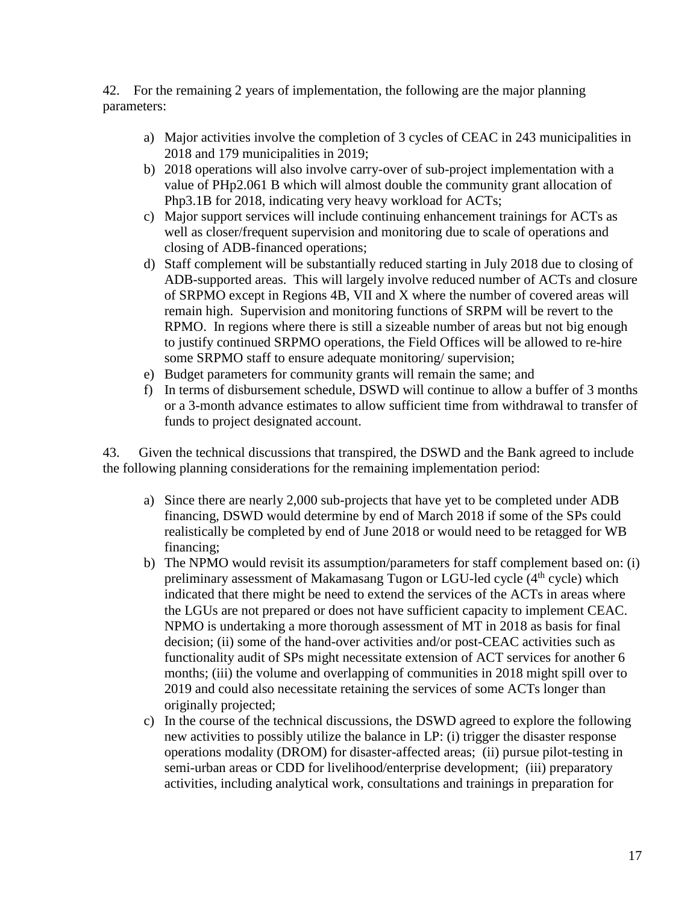42. For the remaining 2 years of implementation, the following are the major planning parameters:

- a) Major activities involve the completion of 3 cycles of CEAC in 243 municipalities in 2018 and 179 municipalities in 2019;
- b) 2018 operations will also involve carry-over of sub-project implementation with a value of PHp2.061 B which will almost double the community grant allocation of Php3.1B for 2018, indicating very heavy workload for ACTs;
- c) Major support services will include continuing enhancement trainings for ACTs as well as closer/frequent supervision and monitoring due to scale of operations and closing of ADB-financed operations;
- d) Staff complement will be substantially reduced starting in July 2018 due to closing of ADB-supported areas. This will largely involve reduced number of ACTs and closure of SRPMO except in Regions 4B, VII and X where the number of covered areas will remain high. Supervision and monitoring functions of SRPM will be revert to the RPMO. In regions where there is still a sizeable number of areas but not big enough to justify continued SRPMO operations, the Field Offices will be allowed to re-hire some SRPMO staff to ensure adequate monitoring/ supervision;
- e) Budget parameters for community grants will remain the same; and
- f) In terms of disbursement schedule, DSWD will continue to allow a buffer of 3 months or a 3-month advance estimates to allow sufficient time from withdrawal to transfer of funds to project designated account.

43. Given the technical discussions that transpired, the DSWD and the Bank agreed to include the following planning considerations for the remaining implementation period:

- a) Since there are nearly 2,000 sub-projects that have yet to be completed under ADB financing, DSWD would determine by end of March 2018 if some of the SPs could realistically be completed by end of June 2018 or would need to be retagged for WB financing;
- b) The NPMO would revisit its assumption/parameters for staff complement based on: (i) preliminary assessment of Makamasang Tugon or LGU-led cycle  $(4<sup>th</sup>$  cycle) which indicated that there might be need to extend the services of the ACTs in areas where the LGUs are not prepared or does not have sufficient capacity to implement CEAC. NPMO is undertaking a more thorough assessment of MT in 2018 as basis for final decision; (ii) some of the hand-over activities and/or post-CEAC activities such as functionality audit of SPs might necessitate extension of ACT services for another 6 months; (iii) the volume and overlapping of communities in 2018 might spill over to 2019 and could also necessitate retaining the services of some ACTs longer than originally projected;
- c) In the course of the technical discussions, the DSWD agreed to explore the following new activities to possibly utilize the balance in LP: (i) trigger the disaster response operations modality (DROM) for disaster-affected areas; (ii) pursue pilot-testing in semi-urban areas or CDD for livelihood/enterprise development; (iii) preparatory activities, including analytical work, consultations and trainings in preparation for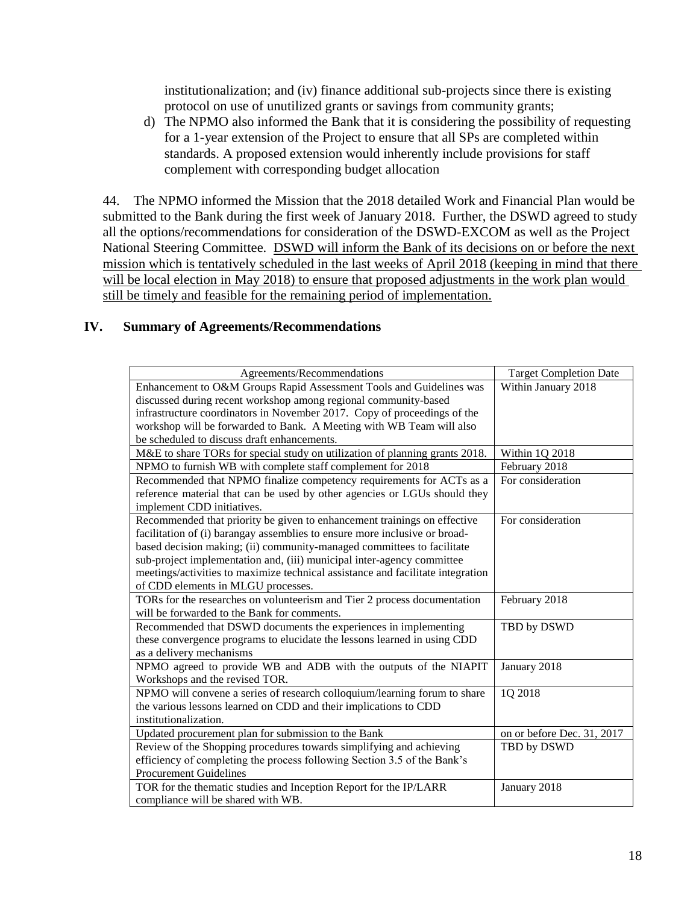institutionalization; and (iv) finance additional sub-projects since there is existing protocol on use of unutilized grants or savings from community grants;

d) The NPMO also informed the Bank that it is considering the possibility of requesting for a 1-year extension of the Project to ensure that all SPs are completed within standards. A proposed extension would inherently include provisions for staff complement with corresponding budget allocation

44. The NPMO informed the Mission that the 2018 detailed Work and Financial Plan would be submitted to the Bank during the first week of January 2018. Further, the DSWD agreed to study all the options/recommendations for consideration of the DSWD-EXCOM as well as the Project National Steering Committee. DSWD will inform the Bank of its decisions on or before the next mission which is tentatively scheduled in the last weeks of April 2018 (keeping in mind that there will be local election in May 2018) to ensure that proposed adjustments in the work plan would still be timely and feasible for the remaining period of implementation.

#### **IV. Summary of Agreements/Recommendations**

| Agreements/Recommendations                                                      | <b>Target Completion Date</b> |
|---------------------------------------------------------------------------------|-------------------------------|
| Enhancement to O&M Groups Rapid Assessment Tools and Guidelines was             | Within January 2018           |
| discussed during recent workshop among regional community-based                 |                               |
| infrastructure coordinators in November 2017. Copy of proceedings of the        |                               |
| workshop will be forwarded to Bank. A Meeting with WB Team will also            |                               |
| be scheduled to discuss draft enhancements.                                     |                               |
| M&E to share TORs for special study on utilization of planning grants 2018.     | Within 1Q 2018                |
| NPMO to furnish WB with complete staff complement for 2018                      | February 2018                 |
| Recommended that NPMO finalize competency requirements for ACTs as a            | For consideration             |
| reference material that can be used by other agencies or LGUs should they       |                               |
| implement CDD initiatives.                                                      |                               |
| Recommended that priority be given to enhancement trainings on effective        | For consideration             |
| facilitation of (i) barangay assemblies to ensure more inclusive or broad-      |                               |
| based decision making; (ii) community-managed committees to facilitate          |                               |
| sub-project implementation and, (iii) municipal inter-agency committee          |                               |
| meetings/activities to maximize technical assistance and facilitate integration |                               |
| of CDD elements in MLGU processes.                                              |                               |
| TORs for the researches on volunteerism and Tier 2 process documentation        | February 2018                 |
| will be forwarded to the Bank for comments.                                     |                               |
| Recommended that DSWD documents the experiences in implementing                 | TBD by DSWD                   |
| these convergence programs to elucidate the lessons learned in using CDD        |                               |
| as a delivery mechanisms                                                        |                               |
| NPMO agreed to provide WB and ADB with the outputs of the NIAPIT                | January 2018                  |
| Workshops and the revised TOR.                                                  |                               |
| NPMO will convene a series of research colloquium/learning forum to share       | 1Q 2018                       |
| the various lessons learned on CDD and their implications to CDD                |                               |
| institutionalization.                                                           |                               |
| Updated procurement plan for submission to the Bank                             | on or before Dec. 31, 2017    |
| Review of the Shopping procedures towards simplifying and achieving             | TBD by DSWD                   |
| efficiency of completing the process following Section 3.5 of the Bank's        |                               |
| <b>Procurement Guidelines</b>                                                   |                               |
| TOR for the thematic studies and Inception Report for the IP/LARR               | January 2018                  |
| compliance will be shared with WB.                                              |                               |